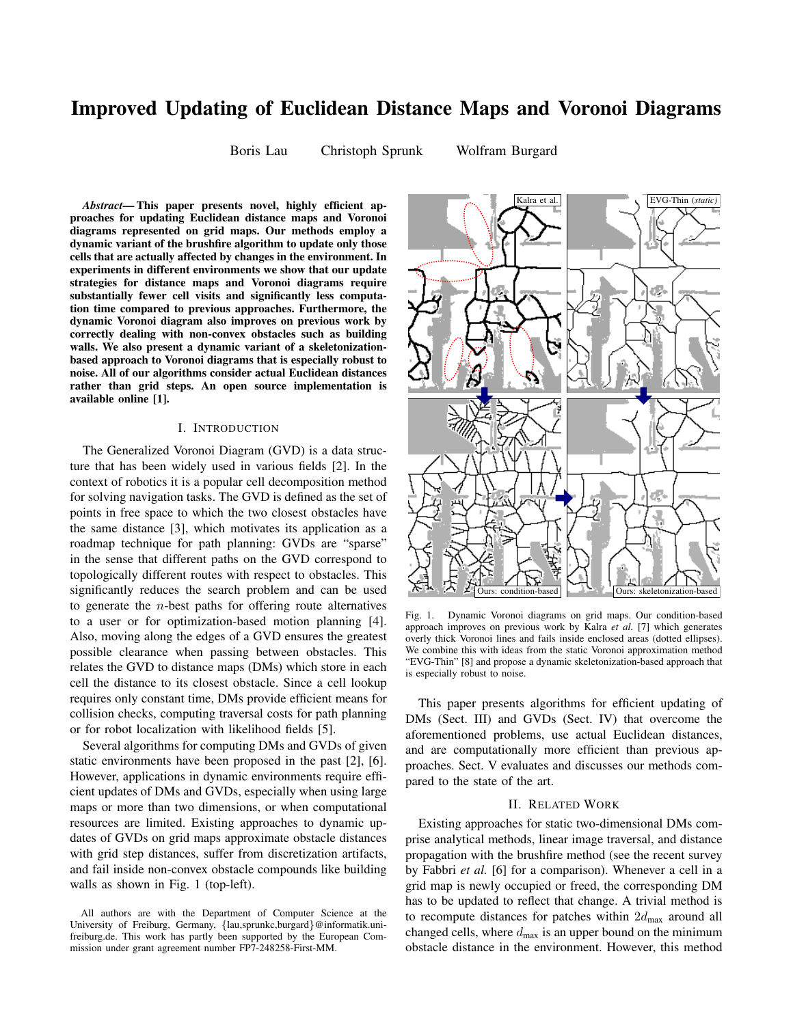# Improved Updating of Euclidean Distance Maps and Voronoi Diagrams

Boris Lau Christoph Sprunk Wolfram Burgard

*Abstract*— This paper presents novel, highly efficient approaches for updating Euclidean distance maps and Voronoi diagrams represented on grid maps. Our methods employ a dynamic variant of the brushfire algorithm to update only those cells that are actually affected by changes in the environment. In experiments in different environments we show that our update strategies for distance maps and Voronoi diagrams require substantially fewer cell visits and significantly less computation time compared to previous approaches. Furthermore, the dynamic Voronoi diagram also improves on previous work by correctly dealing with non-convex obstacles such as building walls. We also present a dynamic variant of a skeletonizationbased approach to Voronoi diagrams that is especially robust to noise. All of our algorithms consider actual Euclidean distances rather than grid steps. An open source implementation is available online [1].

# I. INTRODUCTION

The Generalized Voronoi Diagram (GVD) is a data structure that has been widely used in various fields [2]. In the context of robotics it is a popular cell decomposition method for solving navigation tasks. The GVD is defined as the set of points in free space to which the two closest obstacles have the same distance [3], which motivates its application as a roadmap technique for path planning: GVDs are "sparse" in the sense that different paths on the GVD correspond to topologically different routes with respect to obstacles. This significantly reduces the search problem and can be used to generate the  $n$ -best paths for offering route alternatives to a user or for optimization-based motion planning [4]. Also, moving along the edges of a GVD ensures the greatest possible clearance when passing between obstacles. This relates the GVD to distance maps (DMs) which store in each cell the distance to its closest obstacle. Since a cell lookup requires only constant time, DMs provide efficient means for collision checks, computing traversal costs for path planning or for robot localization with likelihood fields [5].

Several algorithms for computing DMs and GVDs of given static environments have been proposed in the past [2], [6]. However, applications in dynamic environments require efficient updates of DMs and GVDs, especially when using large maps or more than two dimensions, or when computational resources are limited. Existing approaches to dynamic updates of GVDs on grid maps approximate obstacle distances with grid step distances, suffer from discretization artifacts, and fail inside non-convex obstacle compounds like building walls as shown in Fig. 1 (top-left).



Fig. 1. Dynamic Voronoi diagrams on grid maps. Our condition-based approach improves on previous work by Kalra *et al.* [7] which generates overly thick Voronoi lines and fails inside enclosed areas (dotted ellipses). We combine this with ideas from the static Voronoi approximation method "EVG-Thin" [8] and propose a dynamic skeletonization-based approach that is especially robust to noise.

This paper presents algorithms for efficient updating of DMs (Sect. III) and GVDs (Sect. IV) that overcome the aforementioned problems, use actual Euclidean distances, and are computationally more efficient than previous approaches. Sect. V evaluates and discusses our methods compared to the state of the art.

# II. RELATED WORK

Existing approaches for static two-dimensional DMs comprise analytical methods, linear image traversal, and distance propagation with the brushfire method (see the recent survey by Fabbri *et al.* [6] for a comparison). Whenever a cell in a grid map is newly occupied or freed, the corresponding DM has to be updated to reflect that change. A trivial method is to recompute distances for patches within  $2d_{\text{max}}$  around all changed cells, where  $d_{\text{max}}$  is an upper bound on the minimum obstacle distance in the environment. However, this method

All authors are with the Department of Computer Science at the University of Freiburg, Germany, {lau,sprunkc,burgard}@informatik.unifreiburg.de. This work has partly been supported by the European Commission under grant agreement number FP7-248258-First-MM.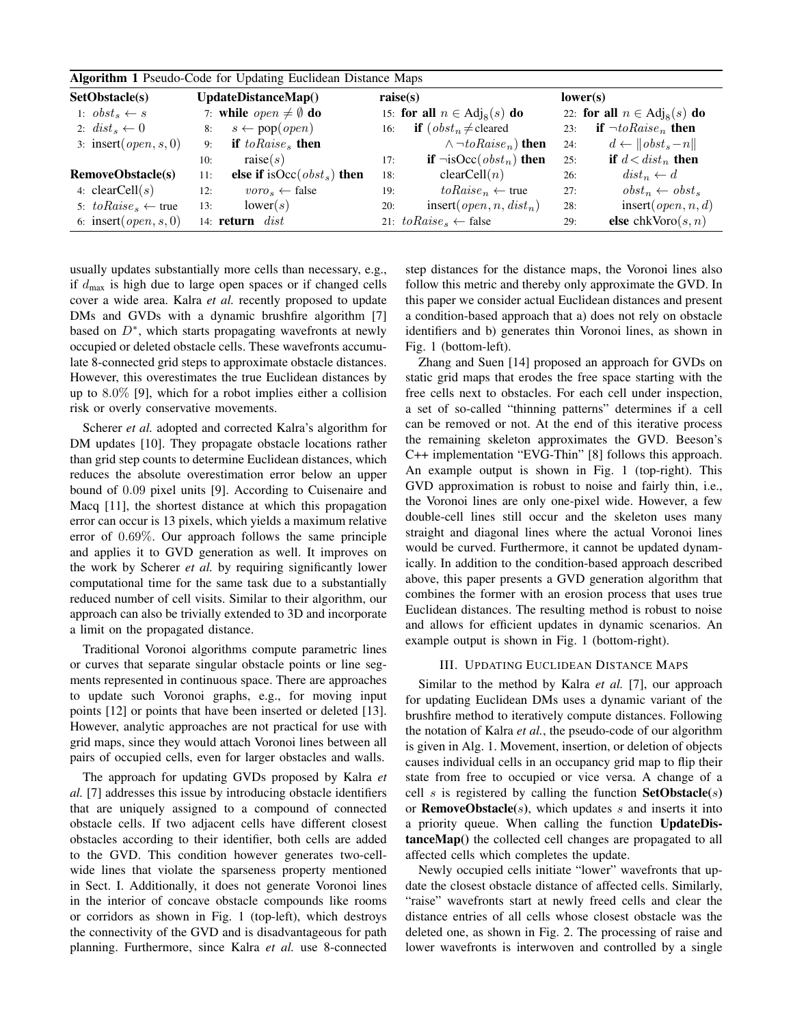| <b>Algorithm 1 Pseudo-Code for Updating Euclidean Distance Maps</b> |                                          |                                                   |                                        |  |  |  |  |  |  |  |  |
|---------------------------------------------------------------------|------------------------------------------|---------------------------------------------------|----------------------------------------|--|--|--|--|--|--|--|--|
| SetObstacle(s)                                                      | UpdateDistanceMap()                      | raise(s)                                          | lower(s)                               |  |  |  |  |  |  |  |  |
| 1: $obst_s \leftarrow s$                                            | 7: while <i>open</i> $\neq \emptyset$ do | 15: for all $n \in \text{Adj}_8(s)$ do            | 22: for all $n \in \text{Adj}_8(s)$ do |  |  |  |  |  |  |  |  |
| 2: $dist_{s} \leftarrow 0$                                          | $s \leftarrow pop(open)$                 | <b>if</b> $(\textit{obst}_n \neq \text{cleaned})$ | if $\neg to Raise_n$ then              |  |  |  |  |  |  |  |  |
|                                                                     | 8:                                       | 16:                                               | 23:                                    |  |  |  |  |  |  |  |  |
| 3: insert $(open, s, 0)$                                            | if $to{Raise_s}$ then<br>9:              | $\wedge \neg toRaise_n)$ then                     | $d \leftarrow   obst_s - n  $<br>24:   |  |  |  |  |  |  |  |  |
|                                                                     | raise(s)                                 | <b>if</b> $\neg isOcc(obst_n)$ then               | if $d < dist_n$ then                   |  |  |  |  |  |  |  |  |
|                                                                     | 10:                                      | 17:                                               | 25:                                    |  |  |  |  |  |  |  |  |
| <b>RemoveObstacle(s)</b>                                            | else if isOcc $(obsts)$ then             | clearCell(n)                                      | $dist_n \leftarrow d$                  |  |  |  |  |  |  |  |  |
|                                                                     | 11:                                      | 18:                                               | 26:                                    |  |  |  |  |  |  |  |  |
| 4: $clearCell(s)$                                                   | $voro_s \leftarrow false$                | $to Raise_n \leftarrow true$                      | $obst_n \leftarrow obst_s$             |  |  |  |  |  |  |  |  |
|                                                                     | 12:                                      | 19:                                               | 27:                                    |  |  |  |  |  |  |  |  |
| 5: $to Raise_s \leftarrow true$                                     | lower(s)                                 | insert( <i>open</i> , <i>n</i> , $dist_n$ )       | insert $(\text{open}, n, d)$           |  |  |  |  |  |  |  |  |
|                                                                     | 13:                                      | 20:                                               | 28:                                    |  |  |  |  |  |  |  |  |
| 6: insert $(open, s, 0)$                                            | 14: $return \; dist$                     | 21: $to{Raise_s} \leftarrow false$                | else chkVoro $(s, n)$<br>29:           |  |  |  |  |  |  |  |  |

usually updates substantially more cells than necessary, e.g., if  $d_{\text{max}}$  is high due to large open spaces or if changed cells cover a wide area. Kalra *et al.* recently proposed to update DMs and GVDs with a dynamic brushfire algorithm [7] based on  $D^*$ , which starts propagating wavefronts at newly occupied or deleted obstacle cells. These wavefronts accumulate 8-connected grid steps to approximate obstacle distances. However, this overestimates the true Euclidean distances by up to 8.0% [9], which for a robot implies either a collision risk or overly conservative movements.

Scherer *et al.* adopted and corrected Kalra's algorithm for DM updates [10]. They propagate obstacle locations rather than grid step counts to determine Euclidean distances, which reduces the absolute overestimation error below an upper bound of 0.09 pixel units [9]. According to Cuisenaire and Macq [11], the shortest distance at which this propagation error can occur is 13 pixels, which yields a maximum relative error of 0.69%. Our approach follows the same principle and applies it to GVD generation as well. It improves on the work by Scherer *et al.* by requiring significantly lower computational time for the same task due to a substantially reduced number of cell visits. Similar to their algorithm, our approach can also be trivially extended to 3D and incorporate a limit on the propagated distance.

Traditional Voronoi algorithms compute parametric lines or curves that separate singular obstacle points or line segments represented in continuous space. There are approaches to update such Voronoi graphs, e.g., for moving input points [12] or points that have been inserted or deleted [13]. However, analytic approaches are not practical for use with grid maps, since they would attach Voronoi lines between all pairs of occupied cells, even for larger obstacles and walls.

The approach for updating GVDs proposed by Kalra *et al.* [7] addresses this issue by introducing obstacle identifiers that are uniquely assigned to a compound of connected obstacle cells. If two adjacent cells have different closest obstacles according to their identifier, both cells are added to the GVD. This condition however generates two-cellwide lines that violate the sparseness property mentioned in Sect. I. Additionally, it does not generate Voronoi lines in the interior of concave obstacle compounds like rooms or corridors as shown in Fig. 1 (top-left), which destroys the connectivity of the GVD and is disadvantageous for path planning. Furthermore, since Kalra *et al.* use 8-connected step distances for the distance maps, the Voronoi lines also follow this metric and thereby only approximate the GVD. In this paper we consider actual Euclidean distances and present a condition-based approach that a) does not rely on obstacle identifiers and b) generates thin Voronoi lines, as shown in Fig. 1 (bottom-left).

Zhang and Suen [14] proposed an approach for GVDs on static grid maps that erodes the free space starting with the free cells next to obstacles. For each cell under inspection, a set of so-called "thinning patterns" determines if a cell can be removed or not. At the end of this iterative process the remaining skeleton approximates the GVD. Beeson's C++ implementation "EVG-Thin" [8] follows this approach. An example output is shown in Fig. 1 (top-right). This GVD approximation is robust to noise and fairly thin, i.e., the Voronoi lines are only one-pixel wide. However, a few double-cell lines still occur and the skeleton uses many straight and diagonal lines where the actual Voronoi lines would be curved. Furthermore, it cannot be updated dynamically. In addition to the condition-based approach described above, this paper presents a GVD generation algorithm that combines the former with an erosion process that uses true Euclidean distances. The resulting method is robust to noise and allows for efficient updates in dynamic scenarios. An example output is shown in Fig. 1 (bottom-right).

# III. UPDATING EUCLIDEAN DISTANCE MAPS

Similar to the method by Kalra *et al.* [7], our approach for updating Euclidean DMs uses a dynamic variant of the brushfire method to iteratively compute distances. Following the notation of Kalra *et al.*, the pseudo-code of our algorithm is given in Alg. 1. Movement, insertion, or deletion of objects causes individual cells in an occupancy grid map to flip their state from free to occupied or vice versa. A change of a cell s is registered by calling the function  $SetObstate(s)$ or **RemoveObstacle** $(s)$ , which updates s and inserts it into a priority queue. When calling the function UpdateDistanceMap() the collected cell changes are propagated to all affected cells which completes the update.

Newly occupied cells initiate "lower" wavefronts that update the closest obstacle distance of affected cells. Similarly, "raise" wavefronts start at newly freed cells and clear the distance entries of all cells whose closest obstacle was the deleted one, as shown in Fig. 2. The processing of raise and lower wavefronts is interwoven and controlled by a single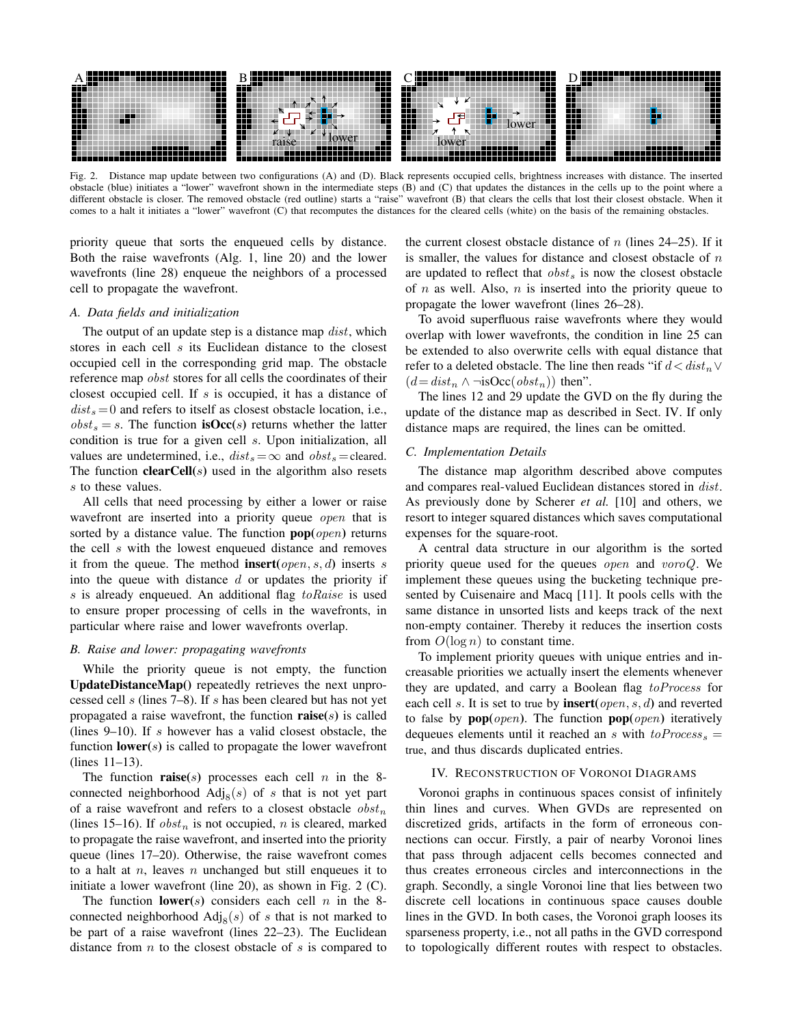

Fig. 2. Distance map update between two configurations (A) and (D). Black represents occupied cells, brightness increases with distance. The inserted obstacle (blue) initiates a "lower" wavefront shown in the intermediate steps (B) and (C) that updates the distances in the cells up to the point where a different obstacle is closer. The removed obstacle (red outline) starts a "raise" wavefront (B) that clears the cells that lost their closest obstacle. When it comes to a halt it initiates a "lower" wavefront (C) that recomputes the distances for the cleared cells (white) on the basis of the remaining obstacles.

priority queue that sorts the enqueued cells by distance. Both the raise wavefronts (Alg. 1, line 20) and the lower wavefronts (line 28) enqueue the neighbors of a processed cell to propagate the wavefront.

### *A. Data fields and initialization*

The output of an update step is a distance map *dist*, which stores in each cell s its Euclidean distance to the closest occupied cell in the corresponding grid map. The obstacle reference map obst stores for all cells the coordinates of their closest occupied cell. If  $s$  is occupied, it has a distance of  $dist_s = 0$  and refers to itself as closest obstacle location, i.e.,  $obst_s = s$ . The function **isOcc**(s) returns whether the latter condition is true for a given cell s. Upon initialization, all values are undetermined, i.e.,  $dist_s = \infty$  and  $obst_s =$ cleared. The function **clearCell** $(s)$  used in the algorithm also resets s to these values.

All cells that need processing by either a lower or raise wavefront are inserted into a priority queue *open* that is sorted by a distance value. The function  $pop(open)$  returns the cell s with the lowest enqueued distance and removes it from the queue. The method **insert**( $open, s, d$ ) inserts s into the queue with distance  $d$  or updates the priority if s is already enqueued. An additional flag to Raise is used to ensure proper processing of cells in the wavefronts, in particular where raise and lower wavefronts overlap.

# *B. Raise and lower: propagating wavefronts*

While the priority queue is not empty, the function UpdateDistanceMap() repeatedly retrieves the next unprocessed cell s (lines 7–8). If s has been cleared but has not yet propagated a raise wavefront, the function  $raise(s)$  is called (lines  $9-10$ ). If s however has a valid closest obstacle, the function  $lower(s)$  is called to propagate the lower wavefront (lines 11–13).

The function **raise**(s) processes each cell n in the 8connected neighborhood  $\text{Adj}_8(s)$  of s that is not yet part of a raise wavefront and refers to a closest obstacle  $obst_n$ (lines 15–16). If  $obst_n$  is not occupied, n is cleared, marked to propagate the raise wavefront, and inserted into the priority queue (lines 17–20). Otherwise, the raise wavefront comes to a halt at  $n$ , leaves  $n$  unchanged but still enqueues it to initiate a lower wavefront (line 20), as shown in Fig. 2 (C).

The function lower(s) considers each cell  $n$  in the 8connected neighborhood  $\text{Adj}_8(s)$  of s that is not marked to be part of a raise wavefront (lines 22–23). The Euclidean distance from  $n$  to the closest obstacle of  $s$  is compared to the current closest obstacle distance of  $n$  (lines 24–25). If it is smaller, the values for distance and closest obstacle of  $n$ are updated to reflect that  $obst_s$  is now the closest obstacle of  $n$  as well. Also,  $n$  is inserted into the priority queue to propagate the lower wavefront (lines 26–28).

To avoid superfluous raise wavefronts where they would overlap with lower wavefronts, the condition in line 25 can be extended to also overwrite cells with equal distance that refer to a deleted obstacle. The line then reads "if  $d \leq dist_n \vee$  $(d=dist_n \wedge \neg isOcc(obj_t))$  then".

The lines 12 and 29 update the GVD on the fly during the update of the distance map as described in Sect. IV. If only distance maps are required, the lines can be omitted.

#### *C. Implementation Details*

The distance map algorithm described above computes and compares real-valued Euclidean distances stored in dist. As previously done by Scherer *et al.* [10] and others, we resort to integer squared distances which saves computational expenses for the square-root.

A central data structure in our algorithm is the sorted priority queue used for the queues open and voroQ. We implement these queues using the bucketing technique presented by Cuisenaire and Macq [11]. It pools cells with the same distance in unsorted lists and keeps track of the next non-empty container. Thereby it reduces the insertion costs from  $O(\log n)$  to constant time.

To implement priority queues with unique entries and increasable priorities we actually insert the elements whenever they are updated, and carry a Boolean flag toProcess for each cell s. It is set to true by **insert**( $open, s, d$ ) and reverted to false by  $pop(open)$ . The function  $pop(open)$  iteratively dequeues elements until it reached an s with  $toProcess<sub>s</sub>$  = true, and thus discards duplicated entries.

# IV. RECONSTRUCTION OF VORONOI DIAGRAMS

Voronoi graphs in continuous spaces consist of infinitely thin lines and curves. When GVDs are represented on discretized grids, artifacts in the form of erroneous connections can occur. Firstly, a pair of nearby Voronoi lines that pass through adjacent cells becomes connected and thus creates erroneous circles and interconnections in the graph. Secondly, a single Voronoi line that lies between two discrete cell locations in continuous space causes double lines in the GVD. In both cases, the Voronoi graph looses its sparseness property, i.e., not all paths in the GVD correspond to topologically different routes with respect to obstacles.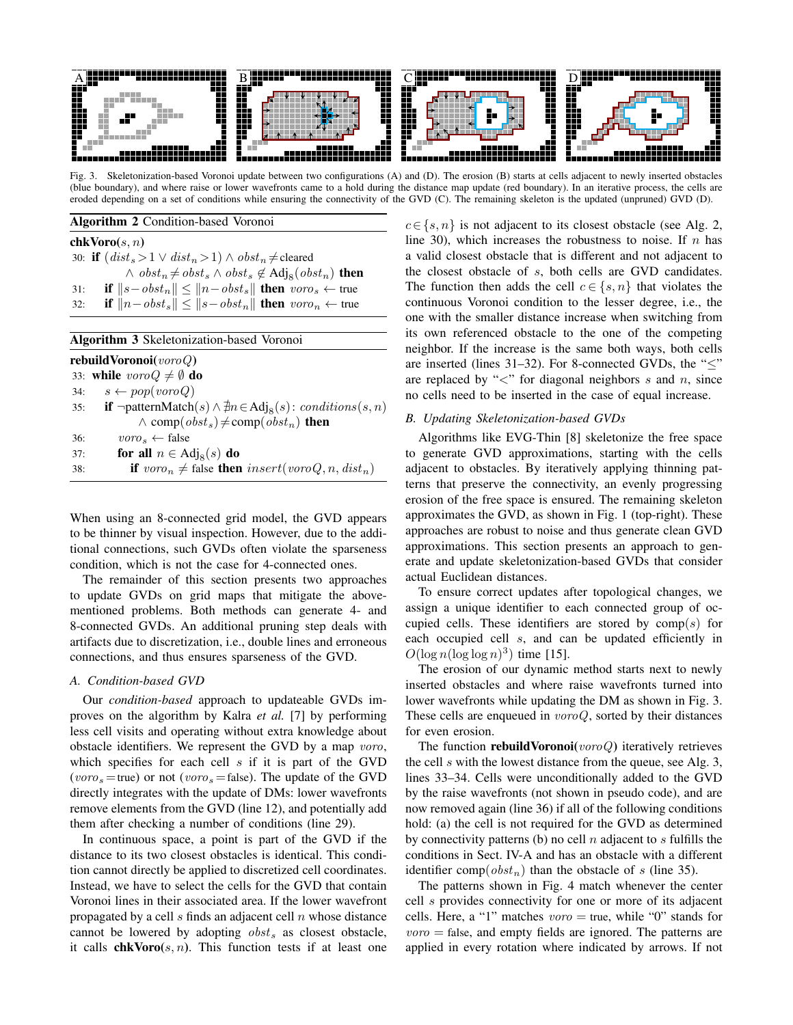

Fig. 3. Skeletonization-based Voronoi update between two configurations (A) and (D). The erosion (B) starts at cells adjacent to newly inserted obstacles (blue boundary), and where raise or lower wavefronts came to a hold during the distance map update (red boundary). In an iterative process, the cells are eroded depending on a set of conditions while ensuring the connectivity of the GVD (C). The remaining skeleton is the updated (unpruned) GVD (D).

# Algorithm 2 Condition-based Voronoi

### $\mathbf{chkVoro}(s, n)$

30: **if**  $(distr_s > 1 ∨ dist_n > 1) ∧ obst_n ≠$ cleared ∧  $\textit{obst}_n \neq \textit{obst}_s \land \textit{obst}_s \not\in \text{Adj}_8(\textit{obst}_n)$  then 31: **if**  $||s - obst_n|| \le ||n - obst_s||$  **then** voro<sub>s</sub> ← true 32: **if**  $||n - obst_s|| \le ||s - obst_n||$  **then** voro<sub>n</sub> ← true

| <b>Algorithm 3 Skeletonization-based Voronoi</b>                                                 |
|--------------------------------------------------------------------------------------------------|
| <b>rebuild Voronoi</b> (voroQ)                                                                   |
| 33: while $voroQ \neq \emptyset$ do                                                              |
| 34: $s \leftarrow pop(voroQ)$                                                                    |
| <b>if</b> ¬patternMatch(s) $\land \nexists n \in Adj_8(s)$ : conditions(s, n)<br>35:             |
| $\wedge$ comp( $obst_s$ ) $\neq$ comp( $obst_n$ ) then                                           |
| $\mathit{voro}_s \leftarrow \text{false}$<br>36:                                                 |
| for all $n \in \text{Adj}_8(s)$ do<br>37:                                                        |
| <b>if</b> voro <sub>n</sub> $\neq$ false <b>then</b> insert(voroQ, n, dist <sub>n</sub> )<br>38: |
|                                                                                                  |

When using an 8-connected grid model, the GVD appears to be thinner by visual inspection. However, due to the additional connections, such GVDs often violate the sparseness condition, which is not the case for 4-connected ones.

The remainder of this section presents two approaches to update GVDs on grid maps that mitigate the abovementioned problems. Both methods can generate 4- and 8-connected GVDs. An additional pruning step deals with artifacts due to discretization, i.e., double lines and erroneous connections, and thus ensures sparseness of the GVD.

# *A. Condition-based GVD*

Our *condition-based* approach to updateable GVDs improves on the algorithm by Kalra *et al.* [7] by performing less cell visits and operating without extra knowledge about obstacle identifiers. We represent the GVD by a map voro, which specifies for each cell  $s$  if it is part of the GVD (voro<sub>s</sub> = true) or not (voro<sub>s</sub> = false). The update of the GVD directly integrates with the update of DMs: lower wavefronts remove elements from the GVD (line 12), and potentially add them after checking a number of conditions (line 29).

In continuous space, a point is part of the GVD if the distance to its two closest obstacles is identical. This condition cannot directly be applied to discretized cell coordinates. Instead, we have to select the cells for the GVD that contain Voronoi lines in their associated area. If the lower wavefront propagated by a cell  $s$  finds an adjacent cell  $n$  whose distance cannot be lowered by adopting  $obst_s$  as closest obstacle, it calls **chkVoro** $(s, n)$ . This function tests if at least one

 $c \in \{s, n\}$  is not adjacent to its closest obstacle (see Alg. 2, line 30), which increases the robustness to noise. If  $n$  has a valid closest obstacle that is different and not adjacent to the closest obstacle of s, both cells are GVD candidates. The function then adds the cell  $c \in \{s, n\}$  that violates the continuous Voronoi condition to the lesser degree, i.e., the one with the smaller distance increase when switching from its own referenced obstacle to the one of the competing neighbor. If the increase is the same both ways, both cells are inserted (lines 31–32). For 8-connected GVDs, the " $\leq$ " are replaced by " $\lt$ " for diagonal neighbors s and n, since no cells need to be inserted in the case of equal increase.

#### *B. Updating Skeletonization-based GVDs*

Algorithms like EVG-Thin [8] skeletonize the free space to generate GVD approximations, starting with the cells adjacent to obstacles. By iteratively applying thinning patterns that preserve the connectivity, an evenly progressing erosion of the free space is ensured. The remaining skeleton approximates the GVD, as shown in Fig. 1 (top-right). These approaches are robust to noise and thus generate clean GVD approximations. This section presents an approach to generate and update skeletonization-based GVDs that consider actual Euclidean distances.

To ensure correct updates after topological changes, we assign a unique identifier to each connected group of occupied cells. These identifiers are stored by  $comp(s)$  for each occupied cell s, and can be updated efficiently in  $O(\log n(\log \log n)^3)$  time [15].

The erosion of our dynamic method starts next to newly inserted obstacles and where raise wavefronts turned into lower wavefronts while updating the DM as shown in Fig. 3. These cells are enqueued in  $voroQ$ , sorted by their distances for even erosion.

The function **rebuildVoronoi**( $voroQ$ ) iteratively retrieves the cell s with the lowest distance from the queue, see Alg. 3, lines 33–34. Cells were unconditionally added to the GVD by the raise wavefronts (not shown in pseudo code), and are now removed again (line 36) if all of the following conditions hold: (a) the cell is not required for the GVD as determined by connectivity patterns (b) no cell  $n$  adjacent to  $s$  fulfills the conditions in Sect. IV-A and has an obstacle with a different identifier comp( $obst_n$ ) than the obstacle of s (line 35).

The patterns shown in Fig. 4 match whenever the center cell s provides connectivity for one or more of its adjacent cells. Here, a "1" matches  $voro = true$ , while "0" stands for  $voro =$  false, and empty fields are ignored. The patterns are applied in every rotation where indicated by arrows. If not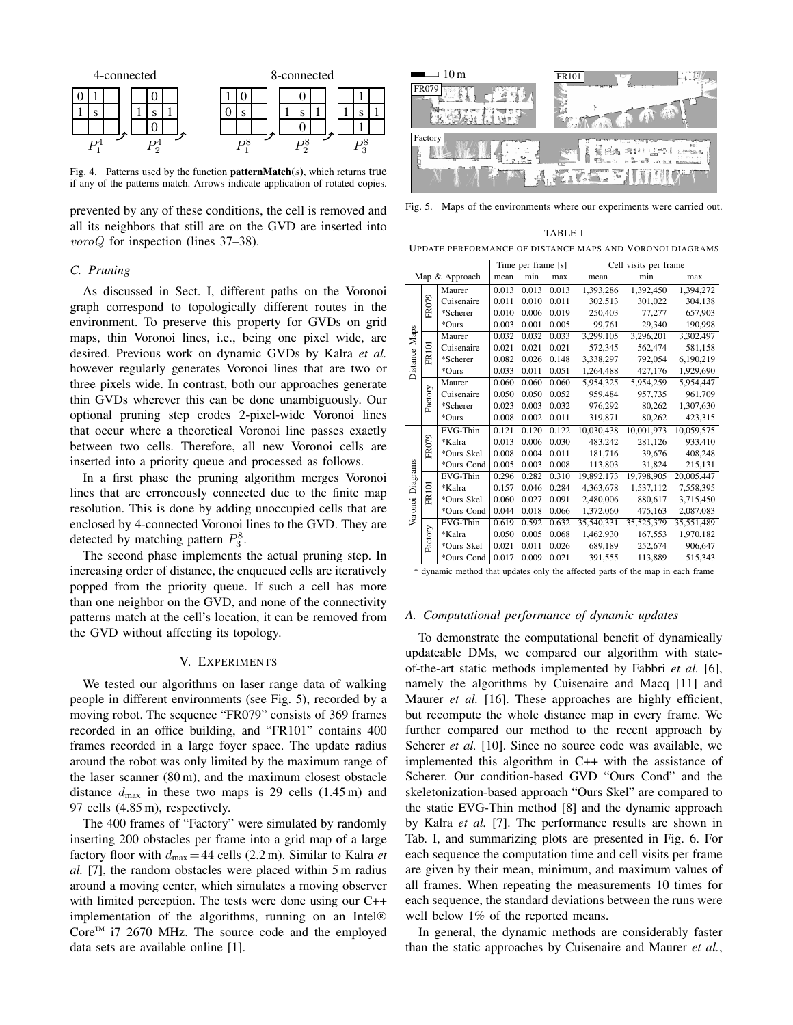

Fig. 4. Patterns used by the function **patternMatch**(s), which returns true if any of the patterns match. Arrows indicate application of rotated copies.

prevented by any of these conditions, the cell is removed and all its neighbors that still are on the GVD are inserted into voroQ for inspection (lines 37–38).

# *C. Pruning*

As discussed in Sect. I, different paths on the Voronoi graph correspond to topologically different routes in the environment. To preserve this property for GVDs on grid maps, thin Voronoi lines, i.e., being one pixel wide, are desired. Previous work on dynamic GVDs by Kalra *et al.* however regularly generates Voronoi lines that are two or three pixels wide. In contrast, both our approaches generate thin GVDs wherever this can be done unambiguously. Our optional pruning step erodes 2-pixel-wide Voronoi lines that occur where a theoretical Voronoi line passes exactly between two cells. Therefore, all new Voronoi cells are inserted into a priority queue and processed as follows.

In a first phase the pruning algorithm merges Voronoi lines that are erroneously connected due to the finite map resolution. This is done by adding unoccupied cells that are enclosed by 4-connected Voronoi lines to the GVD. They are detected by matching pattern  $P_3^8$ .

The second phase implements the actual pruning step. In increasing order of distance, the enqueued cells are iteratively popped from the priority queue. If such a cell has more than one neighbor on the GVD, and none of the connectivity patterns match at the cell's location, it can be removed from the GVD without affecting its topology.

#### V. EXPERIMENTS

We tested our algorithms on laser range data of walking people in different environments (see Fig. 5), recorded by a moving robot. The sequence "FR079" consists of 369 frames recorded in an office building, and "FR101" contains 400 frames recorded in a large foyer space. The update radius around the robot was only limited by the maximum range of the laser scanner (80 m), and the maximum closest obstacle distance  $d_{\text{max}}$  in these two maps is 29 cells (1.45 m) and 97 cells (4.85 m), respectively.

The 400 frames of "Factory" were simulated by randomly inserting 200 obstacles per frame into a grid map of a large factory floor with  $d_{\text{max}} = 44$  cells (2.2 m). Similar to Kalra *et al.* [7], the random obstacles were placed within 5 m radius around a moving center, which simulates a moving observer with limited perception. The tests were done using our C++ implementation of the algorithms, running on an Intel®  $Core^{TM}$  i7 2670 MHz. The source code and the employed data sets are available online [1].



Fig. 5. Maps of the environments where our experiments were carried out.

TABLE I UPDATE PERFORMANCE OF DISTANCE MAPS AND VORONOI DIAGRAMS

|                     |              | Time per frame [s] |       | Cell visits per frame |       |            |            |            |  |
|---------------------|--------------|--------------------|-------|-----------------------|-------|------------|------------|------------|--|
| Map & Approach      |              | mean               | min   | max                   | mean  | min        | max        |            |  |
| Distance Maps       |              | Maurer             | 0.013 | 0.013                 | 0.013 | 1,393,286  | 1,392,450  | 1,394,272  |  |
|                     | FR079        | Cuisenaire         | 0.011 | 0.010                 | 0.011 | 302,513    | 301,022    | 304,138    |  |
|                     |              | *Scherer           | 0.010 | 0.006                 | 0.019 | 250,403    | 77,277     | 657,903    |  |
|                     |              | *Ours              | 0.003 | 0.001                 | 0.005 | 99.761     | 29.340     | 190,998    |  |
|                     |              | Maurer             | 0.032 | 0.032                 | 0.033 | 3,299,105  | 3,296,201  | 3,302,497  |  |
|                     | <b>FR101</b> | Cuisenaire         | 0.021 | 0.021                 | 0.021 | 572,345    | 562,474    | 581,158    |  |
|                     |              | *Scherer           | 0.082 | 0.026                 | 0.148 | 3,338,297  | 792,054    | 6,190,219  |  |
|                     |              | *Ours              | 0.033 | 0.011                 | 0.051 | 1,264,488  | 427,176    | 1,929,690  |  |
|                     |              | Maurer             | 0.060 | 0.060                 | 0.060 | 5.954.325  | 5,954,259  | 5,954,447  |  |
|                     |              | Cuisenaire         | 0.050 | 0.050                 | 0.052 | 959,484    | 957,735    | 961,709    |  |
|                     | Factory      | *Scherer           | 0.023 | 0.003                 | 0.032 | 976,292    | 80,262     | 1,307,630  |  |
|                     |              | *Ours              | 0.008 | 0.002                 | 0.011 | 319,871    | 80,262     | 423,315    |  |
| Diagrams<br>Voronoi |              | EVG-Thin           | 0.121 | 0.120                 | 0.122 | 10,030,438 | 10,001,973 | 10,059,575 |  |
|                     | FR079        | *Kalra             | 0.013 | 0.006                 | 0.030 | 483,242    | 281,126    | 933,410    |  |
|                     |              | *Ours Skel         | 0.008 | 0.004                 | 0.011 | 181,716    | 39,676     | 408,248    |  |
|                     |              | *Ours Cond         | 0.005 | 0.003                 | 0.008 | 113,803    | 31,824     | 215,131    |  |
|                     |              | EVG-Thin           | 0.296 | 0.282                 | 0.310 | 19,892,173 | 19,798,905 | 20,005,447 |  |
|                     | <b>FR101</b> | *Kalra             | 0.157 | 0.046                 | 0.284 | 4.363.678  | 1,537,112  | 7,558,395  |  |
|                     |              | *Ours Skel         | 0.060 | 0.027                 | 0.091 | 2,480,006  | 880,617    | 3,715,450  |  |
|                     |              | *Ours Cond         | 0.044 | 0.018                 | 0.066 | 1,372,060  | 475,163    | 2,087,083  |  |
|                     | Factory      | EVG-Thin           | 0.619 | 0.592                 | 0.632 | 35,540,331 | 35,525,379 | 35,551,489 |  |
|                     |              | *Kalra             | 0.050 | 0.005                 | 0.068 | 1,462,930  | 167,553    | 1,970,182  |  |
|                     |              | *Ours Skel         | 0.021 | 0.011                 | 0.026 | 689,189    | 252,674    | 906,647    |  |
|                     |              | *Ours Cond         | 0.017 | 0.009                 | 0.021 | 391,555    | 113,889    | 515,343    |  |
|                     |              |                    |       |                       |       |            |            |            |  |

\* dynamic method that updates only the affected parts of the map in each frame

#### *A. Computational performance of dynamic updates*

To demonstrate the computational benefit of dynamically updateable DMs, we compared our algorithm with stateof-the-art static methods implemented by Fabbri *et al.* [6], namely the algorithms by Cuisenaire and Macq [11] and Maurer *et al.* [16]. These approaches are highly efficient, but recompute the whole distance map in every frame. We further compared our method to the recent approach by Scherer *et al.* [10]. Since no source code was available, we implemented this algorithm in C++ with the assistance of Scherer. Our condition-based GVD "Ours Cond" and the skeletonization-based approach "Ours Skel" are compared to the static EVG-Thin method [8] and the dynamic approach by Kalra *et al.* [7]. The performance results are shown in Tab. I, and summarizing plots are presented in Fig. 6. For each sequence the computation time and cell visits per frame are given by their mean, minimum, and maximum values of all frames. When repeating the measurements 10 times for each sequence, the standard deviations between the runs were well below 1% of the reported means.

In general, the dynamic methods are considerably faster than the static approaches by Cuisenaire and Maurer *et al.*,